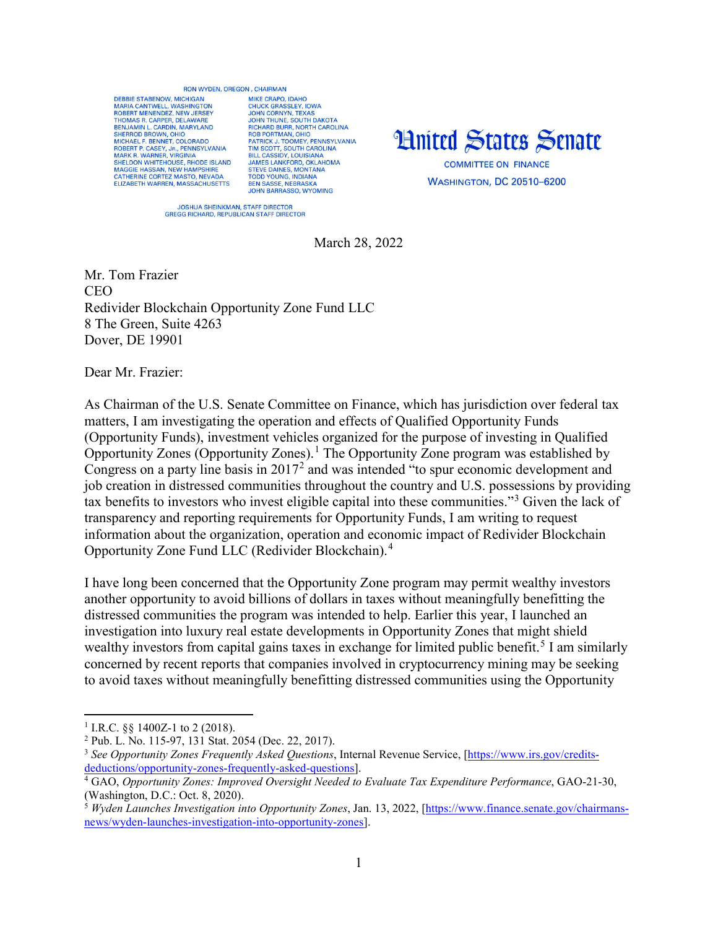## **RON WYDEN OREGON CHAIRMAN**

DEBBIE STARENOW MICHIGAN MARIA CANTWELL, WASHINGTON<br>ROBERT MENENDEZ, NEW JERSEY THOMAS R. CARPER, DELAWARE BENJAMIN L. CARDIN, MARYLAND<br>SHERROD BROWN, OHIO SHENDU BROWN, OHO<br>
MCHAEL F. BENNET, COLORADO<br>
ROBERT P. CASEY, JR., PENNSYLVANIA<br>
MARK R. WARNER, VIRGINIA<br>
SHELDON WHITEHOUSE, RHODE ISLAND MAGGIE HASSAN, NEW HAMPSHIRE<br>CATHERINE CORTEZ MASTO, NEVADA<br>ELIZABETH WARREN, MASSACHUSETTS

MIKE CRAPO IDAHO MIKE CRAPO, IDAHO<br>JOHN CORASSLEY, IOWA<br>JOHN CORNYN, TEXAS<br>JOHN THUNE, SOUTH DAKOTA<br>RICHARD BURR, NORTH CAROLINA<br>ROB PORTMAN, OHIO ROB PORTIMAN, OHIO<br>PATRICK J. TOOMEY, PENNSYLVANIA<br>TIM SCOTT, SOUTH CAROLINA<br>BILL CASSIDY, LOUISIANA<br>JAMES LANKFORD, OKLAHOMA STRIKE DAINES, MONTANA<br>TODD YOUNG, INDIANA<br>BEN SASSE, NEBRASKA **JOHN BARRASSO, WYOMING** 



**WASHINGTON, DC 20510-6200** 

JOSHUA SHEINKMAN, STAFF DIRECTOR<br>GREGG RICHARD, REPUBLICAN STAFF DIRECTOR

March 28, 2022

Mr. Tom Frazier **CEO** Redivider Blockchain Opportunity Zone Fund LLC 8 The Green, Suite 4263 Dover, DE 19901

Dear Mr. Frazier:

As Chairman of the U.S. Senate Committee on Finance, which has jurisdiction over federal tax matters, I am investigating the operation and effects of Qualified Opportunity Funds (Opportunity Funds), investment vehicles organized for the purpose of investing in Qualified Opportunity Zones (Opportunity Zones).[1](#page-0-0) The Opportunity Zone program was established by Congress on a party line basis in  $2017<sup>2</sup>$  $2017<sup>2</sup>$  and was intended "to spur economic development and job creation in distressed communities throughout the country and U.S. possessions by providing tax benefits to investors who invest eligible capital into these communities."[3](#page-0-2) Given the lack of transparency and reporting requirements for Opportunity Funds, I am writing to request information about the organization, operation and economic impact of Redivider Blockchain Opportunity Zone Fund LLC (Redivider Blockchain). [4](#page-0-3)

I have long been concerned that the Opportunity Zone program may permit wealthy investors another opportunity to avoid billions of dollars in taxes without meaningfully benefitting the distressed communities the program was intended to help. Earlier this year, I launched an investigation into luxury real estate developments in Opportunity Zones that might shield wealthy investors from capital gains taxes in exchange for limited public benefit.<sup>[5](#page-0-4)</sup> I am similarly concerned by recent reports that companies involved in cryptocurrency mining may be seeking to avoid taxes without meaningfully benefitting distressed communities using the Opportunity

 $\overline{a}$ 

<span id="page-0-0"></span><sup>&</sup>lt;sup>1</sup> I.R.C. §§ 1400Z-1 to 2 (2018).

<span id="page-0-1"></span><sup>2</sup> Pub. L. No. 115-97, 131 Stat. 2054 (Dec. 22, 2017).

<span id="page-0-2"></span><sup>3</sup> *See Opportunity Zones Frequently Asked Questions*, Internal Revenue Service, [\[https://www.irs.gov/credits](https://www.irs.gov/credits-deductions/opportunity-zones-frequently-asked-questions)[deductions/opportunity-zones-frequently-asked-questions\]](https://www.irs.gov/credits-deductions/opportunity-zones-frequently-asked-questions).

<span id="page-0-3"></span><sup>4</sup> GAO, *Opportunity Zones: Improved Oversight Needed to Evaluate Tax Expenditure Performance*, GAO-21-30, (Washington, D.C.: Oct. 8, 2020).<br><sup>5</sup> *Wyden Launches Investigation into Opportunity Zones*, Jan. 13, 2022, [\[https://www.finance.senate.gov/chairmans-](https://www.finance.senate.gov/chairmans-news/wyden-launches-investigation-into-opportunity-zones)

<span id="page-0-4"></span>[news/wyden-launches-investigation-into-opportunity-zones\]](https://www.finance.senate.gov/chairmans-news/wyden-launches-investigation-into-opportunity-zones).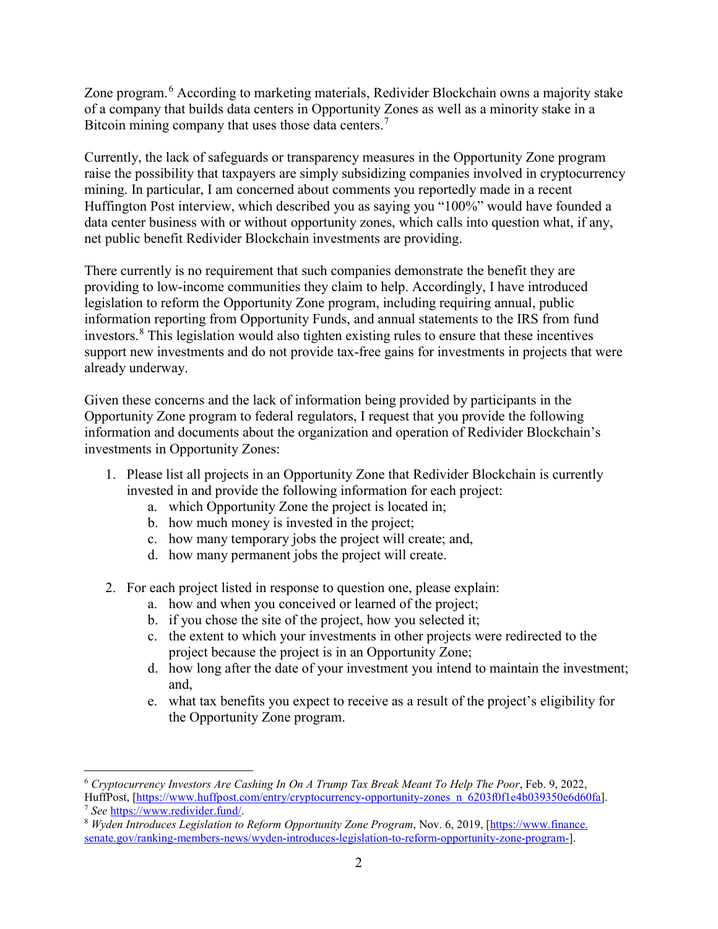Zone program.<sup>[6](#page-1-0)</sup> According to marketing materials, Redivider Blockchain owns a majority stake of a company that builds data centers in Opportunity Zones as well as a minority stake in a Bitcoin mining company that uses those data centers.<sup>[7](#page-1-1)</sup>

Currently, the lack of safeguards or transparency measures in the Opportunity Zone program raise the possibility that taxpayers are simply subsidizing companies involved in cryptocurrency mining. In particular, I am concerned about comments you reportedly made in a recent Huffington Post interview, which described you as saying you "100%" would have founded a data center business with or without opportunity zones, which calls into question what, if any, net public benefit Redivider Blockchain investments are providing.

There currently is no requirement that such companies demonstrate the benefit they are providing to low-income communities they claim to help. Accordingly, I have introduced legislation to reform the Opportunity Zone program, including requiring annual, public information reporting from Opportunity Funds, and annual statements to the IRS from fund investors.[8](#page-1-2) This legislation would also tighten existing rules to ensure that these incentives support new investments and do not provide tax-free gains for investments in projects that were already underway.

Given these concerns and the lack of information being provided by participants in the Opportunity Zone program to federal regulators, I request that you provide the following information and documents about the organization and operation of Redivider Blockchain's investments in Opportunity Zones:

- 1. Please list all projects in an Opportunity Zone that Redivider Blockchain is currently invested in and provide the following information for each project:
	- a. which Opportunity Zone the project is located in;
	- b. how much money is invested in the project;

 $\overline{\phantom{a}}$ 

- c. how many temporary jobs the project will create; and,
- d. how many permanent jobs the project will create.
- 2. For each project listed in response to question one, please explain:
	- a. how and when you conceived or learned of the project;
	- b. if you chose the site of the project, how you selected it;
	- c. the extent to which your investments in other projects were redirected to the project because the project is in an Opportunity Zone;
	- d. how long after the date of your investment you intend to maintain the investment; and,
	- e. what tax benefits you expect to receive as a result of the project's eligibility for the Opportunity Zone program.

<span id="page-1-0"></span><sup>6</sup> *Cryptocurrency Investors Are Cashing In On A Trump Tax Break Meant To Help The Poor*, Feb. 9, 2022, HuffPost, [\[https://www.huffpost.com/entry/cryptocurrency-opportunity-zones\\_n\\_6203f0f1e4b039350e6d60fa\]](https://www.huffpost.com/entry/cryptocurrency-opportunity-zones_n_6203f0f1e4b039350e6d60fa).<br><sup>7</sup> See https://www.redivider.fund/.

<span id="page-1-2"></span><span id="page-1-1"></span><sup>&</sup>lt;sup>8</sup> *Wyden Introduces Legislation to Reform Opportunity Zone Program*, Nov. 6, 2019, [https://www.finance. senate.gov/ranking-members-news/wyden-introduces-legislation-to-reform-opportunity-zone-program-].